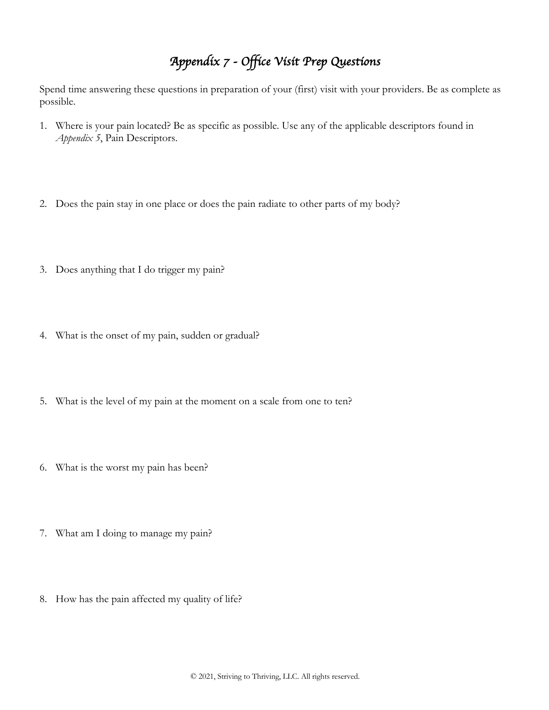## *Appendix 7 - Office Visit Prep Questions*

Spend time answering these questions in preparation of your (first) visit with your providers. Be as complete as possible.

- 1. Where is your pain located? Be as specific as possible. Use any of the applicable descriptors found in *Appendix 5*, Pain Descriptors.
- 2. Does the pain stay in one place or does the pain radiate to other parts of my body?
- 3. Does anything that I do trigger my pain?
- 4. What is the onset of my pain, sudden or gradual?
- 5. What is the level of my pain at the moment on a scale from one to ten?
- 6. What is the worst my pain has been?
- 7. What am I doing to manage my pain?
- 8. How has the pain affected my quality of life?